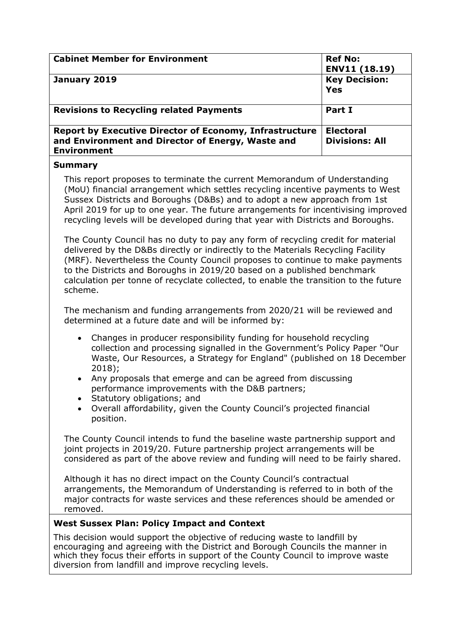| <b>Cabinet Member for Environment</b>                                                                                                     | <b>Ref No:</b><br>ENV11 (18.19)           |
|-------------------------------------------------------------------------------------------------------------------------------------------|-------------------------------------------|
| January 2019                                                                                                                              | <b>Key Decision:</b><br>Yes               |
| <b>Revisions to Recycling related Payments</b>                                                                                            | Part I                                    |
| <b>Report by Executive Director of Economy, Infrastructure</b><br>and Environment and Director of Energy, Waste and<br><b>Environment</b> | <b>Electoral</b><br><b>Divisions: All</b> |

#### **Summary**

This report proposes to terminate the current Memorandum of Understanding (MoU) financial arrangement which settles recycling incentive payments to West Sussex Districts and Boroughs (D&Bs) and to adopt a new approach from 1st April 2019 for up to one year. The future arrangements for incentivising improved recycling levels will be developed during that year with Districts and Boroughs.

The County Council has no duty to pay any form of recycling credit for material delivered by the D&Bs directly or indirectly to the Materials Recycling Facility (MRF). Nevertheless the County Council proposes to continue to make payments to the Districts and Boroughs in 2019/20 based on a published benchmark calculation per tonne of recyclate collected, to enable the transition to the future scheme.

The mechanism and funding arrangements from 2020/21 will be reviewed and determined at a future date and will be informed by:

- Changes in producer responsibility funding for household recycling collection and processing signalled in the Government's Policy Paper "Our Waste, Our Resources, a Strategy for England" (published on 18 December 2018);
- Any proposals that emerge and can be agreed from discussing performance improvements with the D&B partners;
- Statutory obligations; and
- Overall affordability, given the County Council's projected financial position.

The County Council intends to fund the baseline waste partnership support and joint projects in 2019/20. Future partnership project arrangements will be considered as part of the above review and funding will need to be fairly shared.

Although it has no direct impact on the County Council's contractual arrangements, the Memorandum of Understanding is referred to in both of the major contracts for waste services and these references should be amended or removed.

## **West Sussex Plan: Policy Impact and Context**

This decision would support the objective of reducing waste to landfill by encouraging and agreeing with the District and Borough Councils the manner in which they focus their efforts in support of the County Council to improve waste diversion from landfill and improve recycling levels.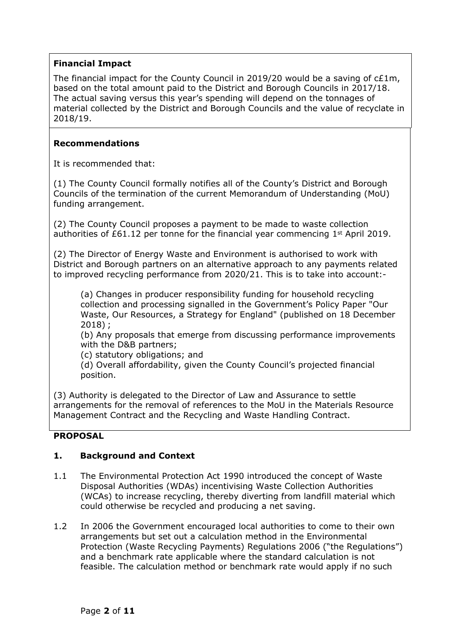## **Financial Impact**

The financial impact for the County Council in 2019/20 would be a saving of  $cE1m$ , based on the total amount paid to the District and Borough Councils in 2017/18. The actual saving versus this year's spending will depend on the tonnages of material collected by the District and Borough Councils and the value of recyclate in 2018/19.

## **Recommendations**

It is recommended that:

(1) The County Council formally notifies all of the County's District and Borough Councils of the termination of the current Memorandum of Understanding (MoU) funding arrangement.

(2) The County Council proposes a payment to be made to waste collection authorities of  $£61.12$  per tonne for the financial year commencing  $1<sup>st</sup>$  April 2019.

(2) The Director of Energy Waste and Environment is authorised to work with District and Borough partners on an alternative approach to any payments related to improved recycling performance from 2020/21. This is to take into account:-

(a) Changes in producer responsibility funding for household recycling collection and processing signalled in the Government's Policy Paper "Our Waste, Our Resources, a Strategy for England" (published on 18 December 2018) ;

(b) Any proposals that emerge from discussing performance improvements with the D&B partners;

(c) statutory obligations; and

(d) Overall affordability, given the County Council's projected financial position.

(3) Authority is delegated to the Director of Law and Assurance to settle arrangements for the removal of references to the MoU in the Materials Resource Management Contract and the Recycling and Waste Handling Contract.

## **PROPOSAL**

## **1. Background and Context**

- 1.1 The Environmental Protection Act 1990 introduced the concept of Waste Disposal Authorities (WDAs) incentivising Waste Collection Authorities (WCAs) to increase recycling, thereby diverting from landfill material which could otherwise be recycled and producing a net saving.
- 1.2 In 2006 the Government encouraged local authorities to come to their own arrangements but set out a calculation method in the Environmental Protection (Waste Recycling Payments) Regulations 2006 ("the Regulations") and a benchmark rate applicable where the standard calculation is not feasible. The calculation method or benchmark rate would apply if no such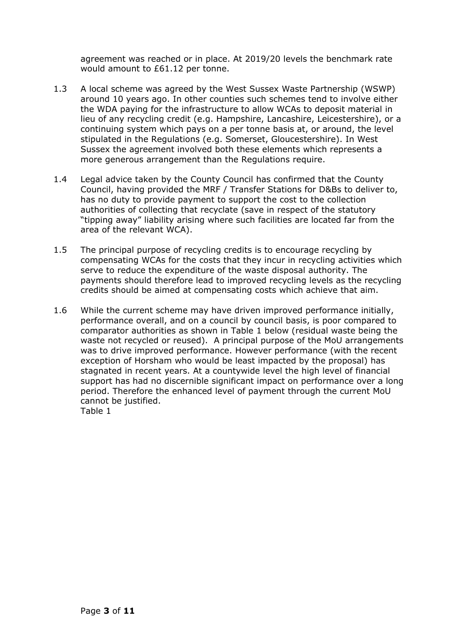agreement was reached or in place. At 2019/20 levels the benchmark rate would amount to £61.12 per tonne.

- 1.3 A local scheme was agreed by the West Sussex Waste Partnership (WSWP) around 10 years ago. In other counties such schemes tend to involve either the WDA paying for the infrastructure to allow WCAs to deposit material in lieu of any recycling credit (e.g. Hampshire, Lancashire, Leicestershire), or a continuing system which pays on a per tonne basis at, or around, the level stipulated in the Regulations (e.g. Somerset, Gloucestershire). In West Sussex the agreement involved both these elements which represents a more generous arrangement than the Regulations require.
- 1.4 Legal advice taken by the County Council has confirmed that the County Council, having provided the MRF / Transfer Stations for D&Bs to deliver to, has no duty to provide payment to support the cost to the collection authorities of collecting that recyclate (save in respect of the statutory "tipping away" liability arising where such facilities are located far from the area of the relevant WCA).
- 1.5 The principal purpose of recycling credits is to encourage recycling by compensating WCAs for the costs that they incur in recycling activities which serve to reduce the expenditure of the waste disposal authority. The payments should therefore lead to improved recycling levels as the recycling credits should be aimed at compensating costs which achieve that aim.
- 1.6 While the current scheme may have driven improved performance initially, performance overall, and on a council by council basis, is poor compared to comparator authorities as shown in Table 1 below (residual waste being the waste not recycled or reused). A principal purpose of the MoU arrangements was to drive improved performance. However performance (with the recent exception of Horsham who would be least impacted by the proposal) has stagnated in recent years. At a countywide level the high level of financial support has had no discernible significant impact on performance over a long period. Therefore the enhanced level of payment through the current MoU cannot be justified. Table 1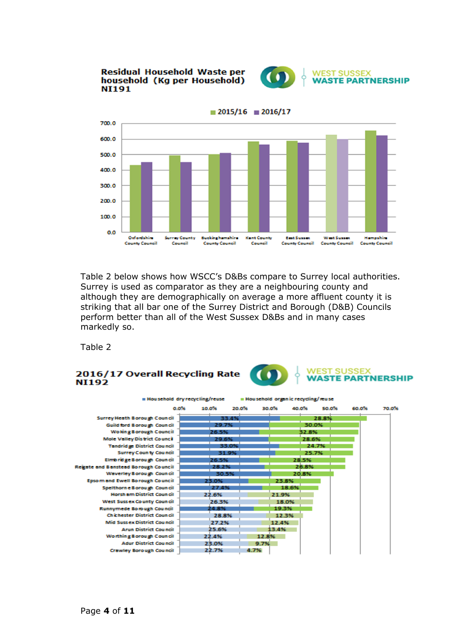**Residual Household Waste per** household (Kg per Household) **NI191** 





Table 2 below shows how WSCC's D&Bs compare to Surrey local authorities. Surrey is used as comparator as they are a neighbouring county and although they are demographically on average a more affluent county it is striking that all bar one of the Surrey District and Borough (D&B) Councils perform better than all of the West Sussex D&Bs and in many cases markedly so.

Table 2

#### **WEST SUSSEX** 2016/17 Overall Recycling Rate  $\bullet$ **WASTE PARTNERSHIP NI192**

| <b>Household dry recycling/reuse</b>       |                |       | Household organic recycling/reuse |       |       |       |       |
|--------------------------------------------|----------------|-------|-----------------------------------|-------|-------|-------|-------|
| o o‰                                       | 10.0%<br>20 OX |       | 30.0%                             | 40.0% | 50.0% | 60.0% | 70.0% |
| Surrey Heath Borough Council               | 33.4%          |       |                                   | 28.8% |       |       |       |
| Guild ford Borough Council                 | 29.7%          |       |                                   | 30.0% |       |       |       |
| Wo king Borough Council                    | 26.5%          |       |                                   | 32.8% |       |       |       |
| <b>Mole Valley District Council</b>        | 29.6%          |       |                                   | 28.6% |       |       |       |
| <b>Tandridge District Council</b>          | 33.0%          |       |                                   | 24.7% |       |       |       |
| <b>Surrey County Council</b>               | 31.9%          |       |                                   | 25.7% |       |       |       |
| Elmbridge Borough Council                  | 26.5%          |       |                                   | 28.5% |       |       |       |
| <b>Regate and Banstead Borough Council</b> | 28.2%          |       |                                   | 26.8% |       |       |       |
| Waverley Borough Council                   | 30.5%          |       |                                   | 20.8% |       |       |       |
| <b>Epsom and Ewell Borough Council</b>     | 23.0%          |       | 23.8%                             |       |       |       |       |
| Spelthorn e Borough Council                | 27.4%          |       | 18.6%                             |       |       |       |       |
| Horsh am District Coun cil                 | 22.6%          |       | 21.9%                             |       |       |       |       |
| West Sussex County Council                 | 26.3%          |       | 18.0%                             |       |       |       |       |
| Runnymede Borough Council                  | 24.8%          |       | 19.3%                             |       |       |       |       |
| Chichester District Council                | 28.8%          |       | 12.3%                             |       |       |       |       |
| Mid Sussex District Council                | 27.2%          |       | 12.4%                             |       |       |       |       |
| <b>Arun District Council</b>               | 25.6%          |       | 13.4%                             |       |       |       |       |
| Worthing Borough Council                   | 22.4%          | 12.8% |                                   |       |       |       |       |
| <b>Adur District Council</b>               | 23.0%          | 9.7%  |                                   |       |       |       |       |
| <b>Crawley Borough Council</b>             | 22.7%          | 4.7%  |                                   |       |       |       |       |

 $\blacksquare$  2015/16  $\blacksquare$  2016/17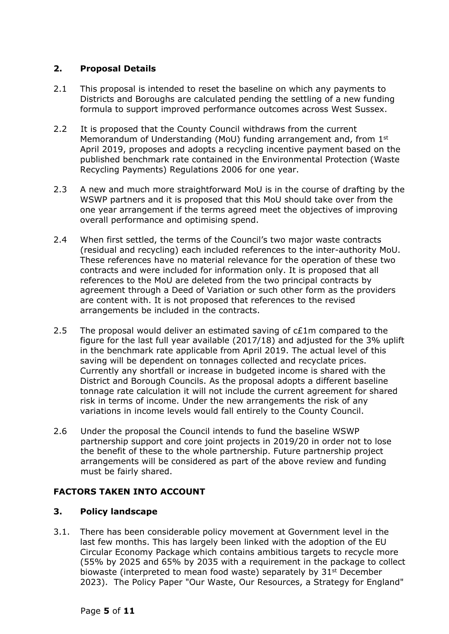## **2. Proposal Details**

- 2.1 This proposal is intended to reset the baseline on which any payments to Districts and Boroughs are calculated pending the settling of a new funding formula to support improved performance outcomes across West Sussex.
- 2.2 It is proposed that the County Council withdraws from the current Memorandum of Understanding (MoU) funding arrangement and, from 1st April 2019, proposes and adopts a recycling incentive payment based on the published benchmark rate contained in the Environmental Protection (Waste Recycling Payments) Regulations 2006 for one year.
- 2.3 A new and much more straightforward MoU is in the course of drafting by the WSWP partners and it is proposed that this MoU should take over from the one year arrangement if the terms agreed meet the objectives of improving overall performance and optimising spend.
- 2.4 When first settled, the terms of the Council's two major waste contracts (residual and recycling) each included references to the inter-authority MoU. These references have no material relevance for the operation of these two contracts and were included for information only. It is proposed that all references to the MoU are deleted from the two principal contracts by agreement through a Deed of Variation or such other form as the providers are content with. It is not proposed that references to the revised arrangements be included in the contracts.
- 2.5 The proposal would deliver an estimated saving of  $cE1m$  compared to the figure for the last full year available (2017/18) and adjusted for the 3% uplift in the benchmark rate applicable from April 2019. The actual level of this saving will be dependent on tonnages collected and recyclate prices. Currently any shortfall or increase in budgeted income is shared with the District and Borough Councils. As the proposal adopts a different baseline tonnage rate calculation it will not include the current agreement for shared risk in terms of income. Under the new arrangements the risk of any variations in income levels would fall entirely to the County Council.
- 2.6 Under the proposal the Council intends to fund the baseline WSWP partnership support and core joint projects in 2019/20 in order not to lose the benefit of these to the whole partnership. Future partnership project arrangements will be considered as part of the above review and funding must be fairly shared.

## **FACTORS TAKEN INTO ACCOUNT**

## **3. Policy landscape**

3.1. There has been considerable policy movement at Government level in the last few months. This has largely been linked with the adoption of the EU Circular Economy Package which contains ambitious targets to recycle more (55% by 2025 and 65% by 2035 with a requirement in the package to collect biowaste (interpreted to mean food waste) separately by 31<sup>st</sup> December 2023). The Policy Paper "Our Waste, Our Resources, a Strategy for England"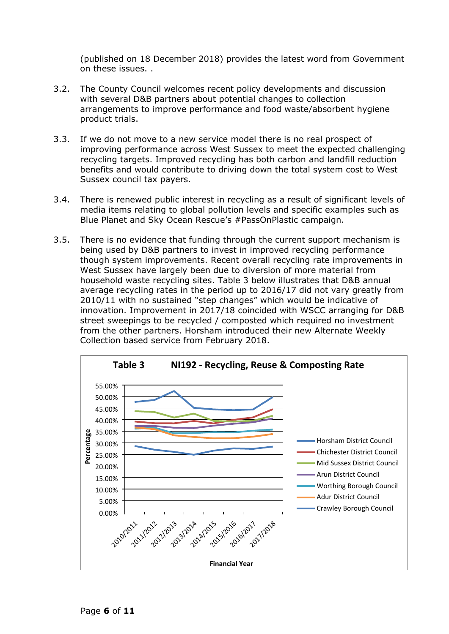(published on 18 December 2018) provides the latest word from Government on these issues. .

- 3.2. The County Council welcomes recent policy developments and discussion with several D&B partners about potential changes to collection arrangements to improve performance and food waste/absorbent hygiene product trials.
- 3.3. If we do not move to a new service model there is no real prospect of improving performance across West Sussex to meet the expected challenging recycling targets. Improved recycling has both carbon and landfill reduction benefits and would contribute to driving down the total system cost to West Sussex council tax payers.
- 3.4. There is renewed public interest in recycling as a result of significant levels of media items relating to global pollution levels and specific examples such as Blue Planet and Sky Ocean Rescue's #PassOnPlastic campaign.
- 3.5. There is no evidence that funding through the current support mechanism is being used by D&B partners to invest in improved recycling performance though system improvements. Recent overall recycling rate improvements in West Sussex have largely been due to diversion of more material from household waste recycling sites. Table 3 below illustrates that D&B annual average recycling rates in the period up to 2016/17 did not vary greatly from 2010/11 with no sustained "step changes" which would be indicative of innovation. Improvement in 2017/18 coincided with WSCC arranging for D&B street sweepings to be recycled / composted which required no investment from the other partners. Horsham introduced their new Alternate Weekly Collection based service from February 2018.

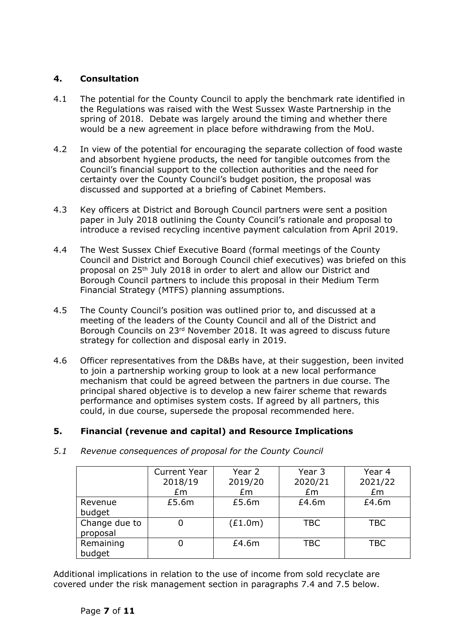## **4. Consultation**

- 4.1 The potential for the County Council to apply the benchmark rate identified in the Regulations was raised with the West Sussex Waste Partnership in the spring of 2018. Debate was largely around the timing and whether there would be a new agreement in place before withdrawing from the MoU.
- 4.2 In view of the potential for encouraging the separate collection of food waste and absorbent hygiene products, the need for tangible outcomes from the Council's financial support to the collection authorities and the need for certainty over the County Council's budget position, the proposal was discussed and supported at a briefing of Cabinet Members.
- 4.3 Key officers at District and Borough Council partners were sent a position paper in July 2018 outlining the County Council's rationale and proposal to introduce a revised recycling incentive payment calculation from April 2019.
- 4.4 The West Sussex Chief Executive Board (formal meetings of the County Council and District and Borough Council chief executives) was briefed on this proposal on 25th July 2018 in order to alert and allow our District and Borough Council partners to include this proposal in their Medium Term Financial Strategy (MTFS) planning assumptions.
- 4.5 The County Council's position was outlined prior to, and discussed at a meeting of the leaders of the County Council and all of the District and Borough Councils on 23rd November 2018. It was agreed to discuss future strategy for collection and disposal early in 2019.
- 4.6 Officer representatives from the D&Bs have, at their suggestion, been invited to join a partnership working group to look at a new local performance mechanism that could be agreed between the partners in due course. The principal shared objective is to develop a new fairer scheme that rewards performance and optimises system costs. If agreed by all partners, this could, in due course, supersede the proposal recommended here.

## **5. Financial (revenue and capital) and Resource Implications**

|               | <b>Current Year</b> | Year 2  | Year 3     | Year 4     |
|---------------|---------------------|---------|------------|------------|
|               | 2018/19             | 2019/20 | 2020/21    | 2021/22    |
|               | Em                  | Em      | Em         | £m         |
| Revenue       | £5.6m               | £5.6m   | £4.6m      | £4.6m      |
| budget        |                     |         |            |            |
| Change due to |                     | (E1.0m) | <b>TBC</b> | <b>TBC</b> |
| proposal      |                     |         |            |            |
| Remaining     |                     | £4.6m   | <b>TBC</b> | <b>TBC</b> |
| budget        |                     |         |            |            |

*5.1 Revenue consequences of proposal for the County Council*

Additional implications in relation to the use of income from sold recyclate are covered under the risk management section in paragraphs 7.4 and 7.5 below.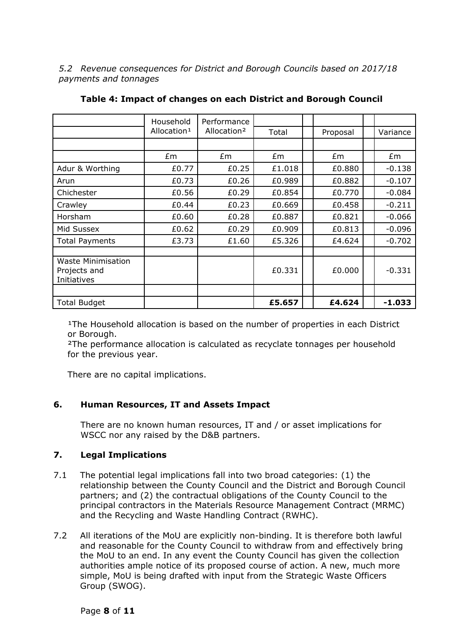*5.2 Revenue consequences for District and Borough Councils based on 2017/18 payments and tonnages*

|                                                          | Household               | Performance             |        |          |          |
|----------------------------------------------------------|-------------------------|-------------------------|--------|----------|----------|
|                                                          | Allocation <sup>1</sup> | Allocation <sup>2</sup> | Total  | Proposal | Variance |
|                                                          |                         |                         |        |          |          |
|                                                          | £m                      | £m                      | £m     | Em       | £m       |
| Adur & Worthing                                          | £0.77                   | £0.25                   | £1.018 | £0.880   | $-0.138$ |
| Arun                                                     | £0.73                   | £0.26                   | £0.989 | £0.882   | $-0.107$ |
| Chichester                                               | £0.56                   | £0.29                   | £0.854 | £0.770   | $-0.084$ |
| Crawley                                                  | £0.44                   | £0.23                   | £0.669 | £0.458   | $-0.211$ |
| Horsham                                                  | £0.60                   | £0.28                   | £0.887 | £0.821   | $-0.066$ |
| Mid Sussex                                               | £0.62                   | £0.29                   | £0.909 | £0.813   | $-0.096$ |
| <b>Total Payments</b>                                    | £3.73                   | £1.60                   | £5.326 | £4.624   | $-0.702$ |
|                                                          |                         |                         |        |          |          |
| <b>Waste Minimisation</b><br>Projects and<br>Initiatives |                         |                         | £0.331 | £0.000   | $-0.331$ |
|                                                          |                         |                         |        |          |          |
| <b>Total Budget</b>                                      |                         |                         | £5.657 | £4.624   | $-1.033$ |

| Table 4: Impact of changes on each District and Borough Council |  |  |  |  |
|-----------------------------------------------------------------|--|--|--|--|
|-----------------------------------------------------------------|--|--|--|--|

<sup>1</sup>The Household allocation is based on the number of properties in each District or Borough.

²The performance allocation is calculated as recyclate tonnages per household for the previous year.

There are no capital implications.

## **6. Human Resources, IT and Assets Impact**

There are no known human resources, IT and / or asset implications for WSCC nor any raised by the D&B partners.

## **7. Legal Implications**

- 7.1 The potential legal implications fall into two broad categories: (1) the relationship between the County Council and the District and Borough Council partners; and (2) the contractual obligations of the County Council to the principal contractors in the Materials Resource Management Contract (MRMC) and the Recycling and Waste Handling Contract (RWHC).
- 7.2 All iterations of the MoU are explicitly non-binding. It is therefore both lawful and reasonable for the County Council to withdraw from and effectively bring the MoU to an end. In any event the County Council has given the collection authorities ample notice of its proposed course of action. A new, much more simple, MoU is being drafted with input from the Strategic Waste Officers Group (SWOG).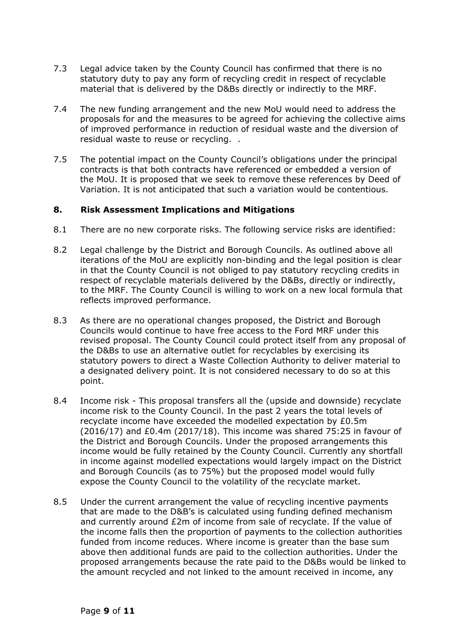- 7.3 Legal advice taken by the County Council has confirmed that there is no statutory duty to pay any form of recycling credit in respect of recyclable material that is delivered by the D&Bs directly or indirectly to the MRF.
- 7.4 The new funding arrangement and the new MoU would need to address the proposals for and the measures to be agreed for achieving the collective aims of improved performance in reduction of residual waste and the diversion of residual waste to reuse or recycling. .
- 7.5 The potential impact on the County Council's obligations under the principal contracts is that both contracts have referenced or embedded a version of the MoU. It is proposed that we seek to remove these references by Deed of Variation. It is not anticipated that such a variation would be contentious.

#### **8. Risk Assessment Implications and Mitigations**

- 8.1 There are no new corporate risks. The following service risks are identified:
- 8.2 Legal challenge by the District and Borough Councils. As outlined above all iterations of the MoU are explicitly non-binding and the legal position is clear in that the County Council is not obliged to pay statutory recycling credits in respect of recyclable materials delivered by the D&Bs, directly or indirectly, to the MRF. The County Council is willing to work on a new local formula that reflects improved performance.
- 8.3 As there are no operational changes proposed, the District and Borough Councils would continue to have free access to the Ford MRF under this revised proposal. The County Council could protect itself from any proposal of the D&Bs to use an alternative outlet for recyclables by exercising its statutory powers to direct a Waste Collection Authority to deliver material to a designated delivery point. It is not considered necessary to do so at this point.
- 8.4 Income risk This proposal transfers all the (upside and downside) recyclate income risk to the County Council. In the past 2 years the total levels of recyclate income have exceeded the modelled expectation by £0.5m (2016/17) and £0.4m (2017/18). This income was shared 75:25 in favour of the District and Borough Councils. Under the proposed arrangements this income would be fully retained by the County Council. Currently any shortfall in income against modelled expectations would largely impact on the District and Borough Councils (as to 75%) but the proposed model would fully expose the County Council to the volatility of the recyclate market.
- 8.5 Under the current arrangement the value of recycling incentive payments that are made to the D&B's is calculated using funding defined mechanism and currently around £2m of income from sale of recyclate. If the value of the income falls then the proportion of payments to the collection authorities funded from income reduces. Where income is greater than the base sum above then additional funds are paid to the collection authorities. Under the proposed arrangements because the rate paid to the D&Bs would be linked to the amount recycled and not linked to the amount received in income, any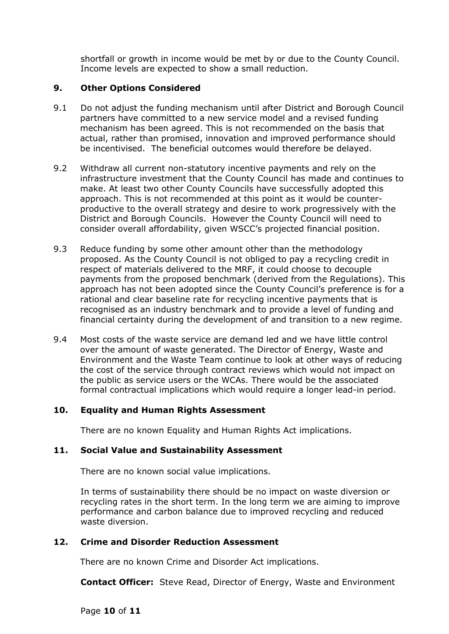shortfall or growth in income would be met by or due to the County Council. Income levels are expected to show a small reduction.

## **9. Other Options Considered**

- 9.1 Do not adjust the funding mechanism until after District and Borough Council partners have committed to a new service model and a revised funding mechanism has been agreed. This is not recommended on the basis that actual, rather than promised, innovation and improved performance should be incentivised. The beneficial outcomes would therefore be delayed.
- 9.2 Withdraw all current non-statutory incentive payments and rely on the infrastructure investment that the County Council has made and continues to make. At least two other County Councils have successfully adopted this approach. This is not recommended at this point as it would be counterproductive to the overall strategy and desire to work progressively with the District and Borough Councils. However the County Council will need to consider overall affordability, given WSCC's projected financial position.
- 9.3 Reduce funding by some other amount other than the methodology proposed. As the County Council is not obliged to pay a recycling credit in respect of materials delivered to the MRF, it could choose to decouple payments from the proposed benchmark (derived from the Regulations). This approach has not been adopted since the County Council's preference is for a rational and clear baseline rate for recycling incentive payments that is recognised as an industry benchmark and to provide a level of funding and financial certainty during the development of and transition to a new regime.
- 9.4 Most costs of the waste service are demand led and we have little control over the amount of waste generated. The Director of Energy, Waste and Environment and the Waste Team continue to look at other ways of reducing the cost of the service through contract reviews which would not impact on the public as service users or the WCAs. There would be the associated formal contractual implications which would require a longer lead-in period.

## **10. Equality and Human Rights Assessment**

There are no known Equality and Human Rights Act implications.

## **11. Social Value and Sustainability Assessment**

There are no known social value implications.

In terms of sustainability there should be no impact on waste diversion or recycling rates in the short term. In the long term we are aiming to improve performance and carbon balance due to improved recycling and reduced waste diversion.

## **12. Crime and Disorder Reduction Assessment**

There are no known Crime and Disorder Act implications.

**Contact Officer:** Steve Read, Director of Energy, Waste and Environment